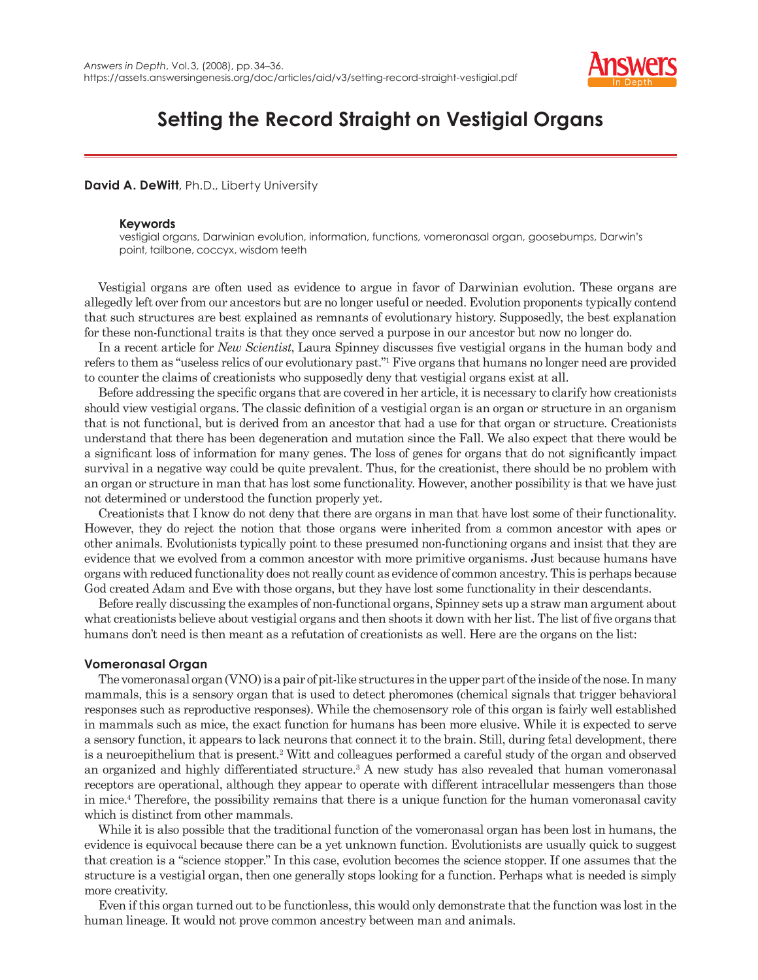

# **Setting the Record Straight on Vestigial Organs**

### **David A. DeWitt**, Ph.D., Liberty University

#### **Keywords**

vestigial organs, Darwinian evolution, information, functions, vomeronasal organ, goosebumps, Darwin's point, tailbone, coccyx, wisdom teeth

Vestigial organs are often used as evidence to argue in favor of Darwinian evolution. These organs are allegedly left over from our ancestors but are no longer useful or needed. Evolution proponents typically contend that such structures are best explained as remnants of evolutionary history. Supposedly, the best explanation for these non-functional traits is that they once served a purpose in our ancestor but now no longer do.

In a recent article for *New Scientist*, Laura Spinney discusses five vestigial organs in the human body and refers to them as "useless relics of our evolutionary past."1 Five organs that humans no longer need are provided to counter the claims of creationists who supposedly deny that vestigial organs exist at all.

Before addressing the specific organs that are covered in her article, it is necessary to clarify how creationists should view vestigial organs. The classic definition of a vestigial organ is an organ or structure in an organism that is not functional, but is derived from an ancestor that had a use for that organ or structure. Creationists understand that there has been degeneration and mutation since the Fall. We also expect that there would be a significant loss of information for many genes. The loss of genes for organs that do not significantly impact survival in a negative way could be quite prevalent. Thus, for the creationist, there should be no problem with an organ or structure in man that has lost some functionality. However, another possibility is that we have just not determined or understood the function properly yet.

Creationists that I know do not deny that there are organs in man that have lost some of their functionality. However, they do reject the notion that those organs were inherited from a common ancestor with apes or other animals. Evolutionists typically point to these presumed non-functioning organs and insist that they are evidence that we evolved from a common ancestor with more primitive organisms. Just because humans have organs with reduced functionality does not really count as evidence of common ancestry. This is perhaps because God created Adam and Eve with those organs, but they have lost some functionality in their descendants.

Before really discussing the examples of non-functional organs, Spinney sets up a straw man argument about what creationists believe about vestigial organs and then shoots it down with her list. The list of five organs that humans don't need is then meant as a refutation of creationists as well. Here are the organs on the list:

### **Vomeronasal Organ**

The vomeronasal organ (VNO) is a pair of pit-like structures in the upper part of the inside of the nose. In many mammals, this is a sensory organ that is used to detect pheromones (chemical signals that trigger behavioral responses such as reproductive responses). While the chemosensory role of this organ is fairly well established in mammals such as mice, the exact function for humans has been more elusive. While it is expected to serve a sensory function, it appears to lack neurons that connect it to the brain. Still, during fetal development, there is a neuroepithelium that is present.<sup>2</sup> Witt and colleagues performed a careful study of the organ and observed an organized and highly differentiated structure.<sup>3</sup> A new study has also revealed that human vomeronasal receptors are operational, although they appear to operate with different intracellular messengers than those in mice.4 Therefore, the possibility remains that there is a unique function for the human vomeronasal cavity which is distinct from other mammals.

While it is also possible that the traditional function of the vomeronasal organ has been lost in humans, the evidence is equivocal because there can be a yet unknown function. Evolutionists are usually quick to suggest that creation is a "science stopper." In this case, evolution becomes the science stopper. If one assumes that the structure is a vestigial organ, then one generally stops looking for a function. Perhaps what is needed is simply more creativity.

Even if this organ turned out to be functionless, this would only demonstrate that the function was lost in the human lineage. It would not prove common ancestry between man and animals.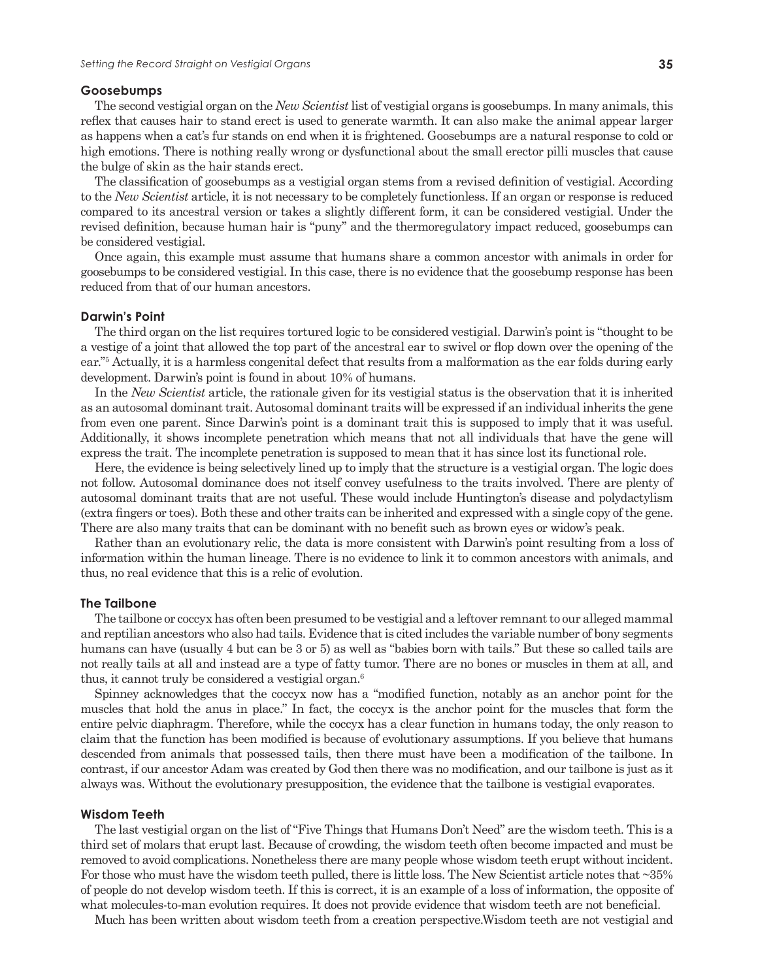#### **Goosebumps**

The second vestigial organ on the *New Scientist* list of vestigial organs is goosebumps. In many animals, this reflex that causes hair to stand erect is used to generate warmth. It can also make the animal appear larger as happens when a cat's fur stands on end when it is frightened. Goosebumps are a natural response to cold or high emotions. There is nothing really wrong or dysfunctional about the small erector pilli muscles that cause the bulge of skin as the hair stands erect.

The classification of goosebumps as a vestigial organ stems from a revised definition of vestigial. According to the *New Scientist* article, it is not necessary to be completely functionless. If an organ or response is reduced compared to its ancestral version or takes a slightly different form, it can be considered vestigial. Under the revised definition, because human hair is "puny" and the thermoregulatory impact reduced, goosebumps can be considered vestigial.

Once again, this example must assume that humans share a common ancestor with animals in order for goosebumps to be considered vestigial. In this case, there is no evidence that the goosebump response has been reduced from that of our human ancestors.

#### **Darwin's Point**

The third organ on the list requires tortured logic to be considered vestigial. Darwin's point is "thought to be a vestige of a joint that allowed the top part of the ancestral ear to swivel or flop down over the opening of the ear."5 Actually, it is a harmless congenital defect that results from a malformation as the ear folds during early development. Darwin's point is found in about 10% of humans.

In the *New Scientist* article, the rationale given for its vestigial status is the observation that it is inherited as an autosomal dominant trait. Autosomal dominant traits will be expressed if an individual inherits the gene from even one parent. Since Darwin's point is a dominant trait this is supposed to imply that it was useful. Additionally, it shows incomplete penetration which means that not all individuals that have the gene will express the trait. The incomplete penetration is supposed to mean that it has since lost its functional role.

Here, the evidence is being selectively lined up to imply that the structure is a vestigial organ. The logic does not follow. Autosomal dominance does not itself convey usefulness to the traits involved. There are plenty of autosomal dominant traits that are not useful. These would include Huntington's disease and polydactylism (extra fingers or toes). Both these and other traits can be inherited and expressed with a single copy of the gene. There are also many traits that can be dominant with no benefit such as brown eyes or widow's peak.

Rather than an evolutionary relic, the data is more consistent with Darwin's point resulting from a loss of information within the human lineage. There is no evidence to link it to common ancestors with animals, and thus, no real evidence that this is a relic of evolution.

#### **The Tailbone**

The tailbone or coccyx has often been presumed to be vestigial and a leftover remnant to our alleged mammal and reptilian ancestors who also had tails. Evidence that is cited includes the variable number of bony segments humans can have (usually 4 but can be 3 or 5) as well as "babies born with tails." But these so called tails are not really tails at all and instead are a type of fatty tumor. There are no bones or muscles in them at all, and thus, it cannot truly be considered a vestigial organ.6

Spinney acknowledges that the coccyx now has a "modified function, notably as an anchor point for the muscles that hold the anus in place." In fact, the coccyx is the anchor point for the muscles that form the entire pelvic diaphragm. Therefore, while the coccyx has a clear function in humans today, the only reason to claim that the function has been modified is because of evolutionary assumptions. If you believe that humans descended from animals that possessed tails, then there must have been a modification of the tailbone. In contrast, if our ancestor Adam was created by God then there was no modification, and our tailbone is just as it always was. Without the evolutionary presupposition, the evidence that the tailbone is vestigial evaporates.

#### **Wisdom Teeth**

The last vestigial organ on the list of "Five Things that Humans Don't Need" are the wisdom teeth. This is a third set of molars that erupt last. Because of crowding, the wisdom teeth often become impacted and must be removed to avoid complications. Nonetheless there are many people whose wisdom teeth erupt without incident. For those who must have the wisdom teeth pulled, there is little loss. The New Scientist article notes that ~35% of people do not develop wisdom teeth. If this is correct, it is an example of a loss of information, the opposite of what molecules-to-man evolution requires. It does not provide evidence that wisdom teeth are not beneficial.

Much has been written about wisdom teeth from a creation perspective.Wisdom teeth are not vestigial and